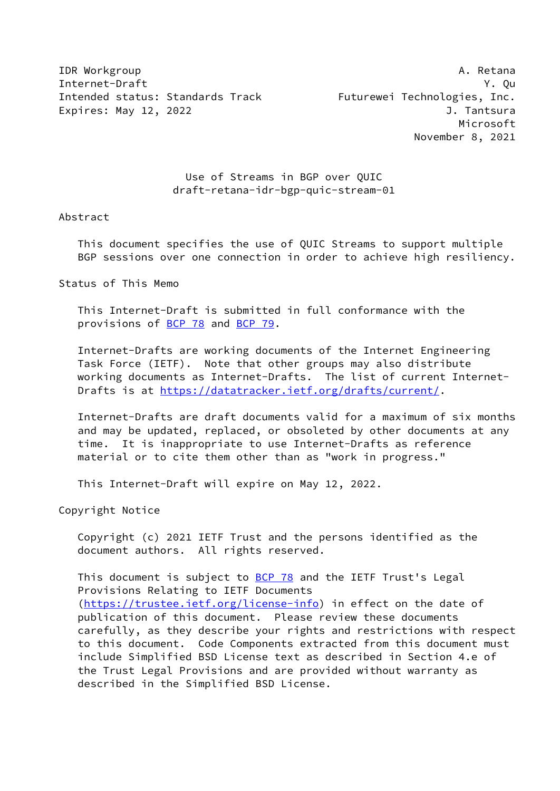**IDR** Workgroup **A. Retana** Internet-Draft Y. Qu Intended status: Standards Track Futurewei Technologies, Inc. Expires: May 12, 2022 **J. Tantsura** 

 Microsoft November 8, 2021

 Use of Streams in BGP over QUIC draft-retana-idr-bgp-quic-stream-01

## Abstract

 This document specifies the use of QUIC Streams to support multiple BGP sessions over one connection in order to achieve high resiliency.

Status of This Memo

 This Internet-Draft is submitted in full conformance with the provisions of [BCP 78](https://datatracker.ietf.org/doc/pdf/bcp78) and [BCP 79](https://datatracker.ietf.org/doc/pdf/bcp79).

 Internet-Drafts are working documents of the Internet Engineering Task Force (IETF). Note that other groups may also distribute working documents as Internet-Drafts. The list of current Internet Drafts is at<https://datatracker.ietf.org/drafts/current/>.

 Internet-Drafts are draft documents valid for a maximum of six months and may be updated, replaced, or obsoleted by other documents at any time. It is inappropriate to use Internet-Drafts as reference material or to cite them other than as "work in progress."

This Internet-Draft will expire on May 12, 2022.

Copyright Notice

 Copyright (c) 2021 IETF Trust and the persons identified as the document authors. All rights reserved.

This document is subject to **[BCP 78](https://datatracker.ietf.org/doc/pdf/bcp78)** and the IETF Trust's Legal Provisions Relating to IETF Documents [\(https://trustee.ietf.org/license-info](https://trustee.ietf.org/license-info)) in effect on the date of publication of this document. Please review these documents carefully, as they describe your rights and restrictions with respect to this document. Code Components extracted from this document must include Simplified BSD License text as described in Section 4.e of the Trust Legal Provisions and are provided without warranty as described in the Simplified BSD License.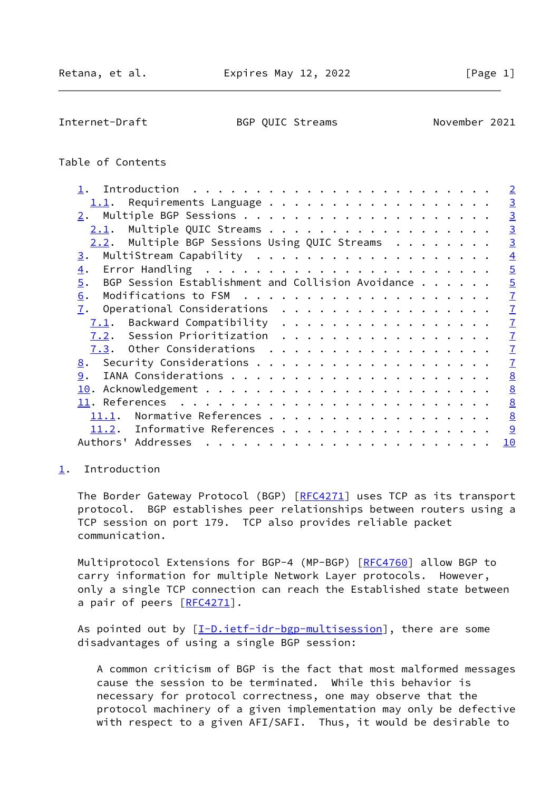<span id="page-1-1"></span>Internet-Draft BGP QUIC Streams November 2021

# Table of Contents

|                                                         | $\overline{2}$  |
|---------------------------------------------------------|-----------------|
| 1.1. Requirements Language                              | $\overline{3}$  |
|                                                         | $\overline{3}$  |
| $2.1$ . Multiple QUIC Streams                           | $\overline{3}$  |
| 2.2. Multiple BGP Sessions Using QUIC Streams $\cdots$  | $\overline{3}$  |
| 3.                                                      | $\overline{4}$  |
| $\overline{4}$ .                                        | $\overline{5}$  |
| BGP Session Establishment and Collision Avoidance<br>5. | $\overline{5}$  |
| 6.                                                      | $\mathbf{I}$    |
| 7.<br>Operational Considerations                        | $\mathbf{I}$    |
| $7.1$ . Backward Compatibility                          | $\overline{1}$  |
| 7.2. Session Prioritization                             | $\overline{1}$  |
| 7.3. Other Considerations                               | $\overline{1}$  |
| <u>8</u> .                                              | $\overline{1}$  |
| 9.                                                      | 8               |
|                                                         | 8               |
|                                                         | 8               |
| Normative References<br><u>11.1</u> .                   | $\underline{8}$ |
| 11.2. Informative References                            | 9               |
|                                                         | 10              |
|                                                         |                 |

## <span id="page-1-0"></span>[1](#page-1-0). Introduction

The Border Gateway Protocol (BGP) [[RFC4271](https://datatracker.ietf.org/doc/pdf/rfc4271)] uses TCP as its transport protocol. BGP establishes peer relationships between routers using a TCP session on port 179. TCP also provides reliable packet communication.

Multiprotocol Extensions for BGP-4 (MP-BGP) [\[RFC4760](https://datatracker.ietf.org/doc/pdf/rfc4760)] allow BGP to carry information for multiple Network Layer protocols. However, only a single TCP connection can reach the Established state between a pair of peers [\[RFC4271](https://datatracker.ietf.org/doc/pdf/rfc4271)].

As pointed out by  $[\underline{I-D.iett-idr-bgp-multisession}]$ , there are some disadvantages of using a single BGP session:

 A common criticism of BGP is the fact that most malformed messages cause the session to be terminated. While this behavior is necessary for protocol correctness, one may observe that the protocol machinery of a given implementation may only be defective with respect to a given AFI/SAFI. Thus, it would be desirable to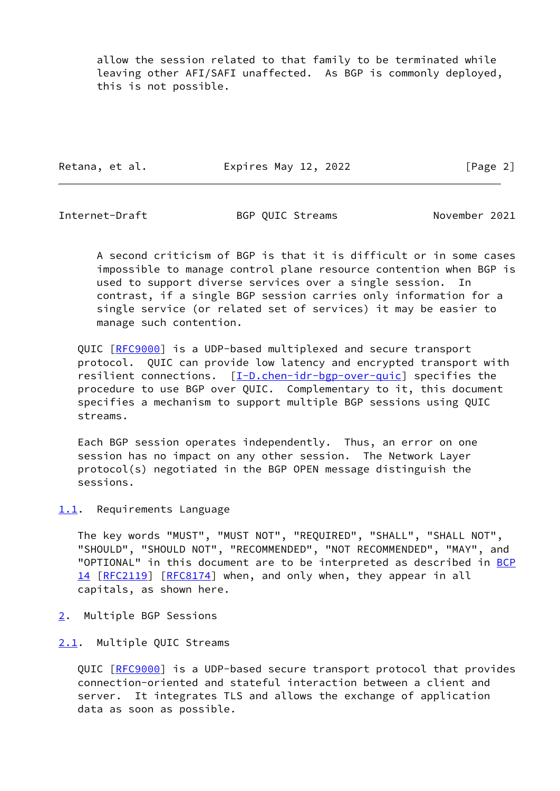allow the session related to that family to be terminated while leaving other AFI/SAFI unaffected. As BGP is commonly deployed, this is not possible.

Retana, et al. **Expires May 12, 2022** [Page 2]

<span id="page-2-1"></span>

Internet-Draft BGP QUIC Streams November 2021

 A second criticism of BGP is that it is difficult or in some cases impossible to manage control plane resource contention when BGP is used to support diverse services over a single session. In contrast, if a single BGP session carries only information for a single service (or related set of services) it may be easier to manage such contention.

 QUIC [\[RFC9000](https://datatracker.ietf.org/doc/pdf/rfc9000)] is a UDP-based multiplexed and secure transport protocol. QUIC can provide low latency and encrypted transport with resilient connections. [\[I-D.chen-idr-bgp-over-quic\]](#page-8-4) specifies the procedure to use BGP over QUIC. Complementary to it, this document specifies a mechanism to support multiple BGP sessions using QUIC streams.

 Each BGP session operates independently. Thus, an error on one session has no impact on any other session. The Network Layer protocol(s) negotiated in the BGP OPEN message distinguish the sessions.

<span id="page-2-0"></span>[1.1](#page-2-0). Requirements Language

 The key words "MUST", "MUST NOT", "REQUIRED", "SHALL", "SHALL NOT", "SHOULD", "SHOULD NOT", "RECOMMENDED", "NOT RECOMMENDED", "MAY", and "OPTIONAL" in this document are to be interpreted as described in [BCP](https://datatracker.ietf.org/doc/pdf/bcp14) [14](https://datatracker.ietf.org/doc/pdf/bcp14) [[RFC2119\]](https://datatracker.ietf.org/doc/pdf/rfc2119) [\[RFC8174](https://datatracker.ietf.org/doc/pdf/rfc8174)] when, and only when, they appear in all capitals, as shown here.

- <span id="page-2-2"></span>[2](#page-2-2). Multiple BGP Sessions
- <span id="page-2-3"></span>[2.1](#page-2-3). Multiple QUIC Streams

 QUIC [\[RFC9000](https://datatracker.ietf.org/doc/pdf/rfc9000)] is a UDP-based secure transport protocol that provides connection-oriented and stateful interaction between a client and server. It integrates TLS and allows the exchange of application data as soon as possible.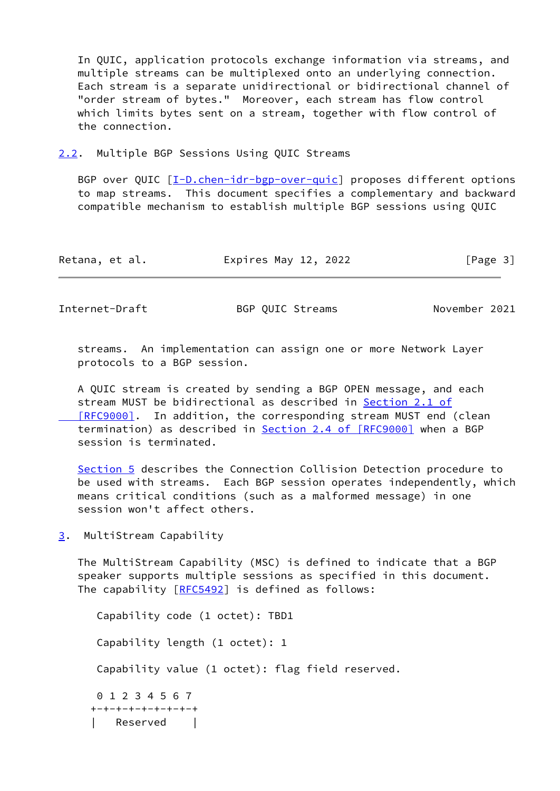In QUIC, application protocols exchange information via streams, and multiple streams can be multiplexed onto an underlying connection. Each stream is a separate unidirectional or bidirectional channel of "order stream of bytes." Moreover, each stream has flow control which limits bytes sent on a stream, together with flow control of the connection.

<span id="page-3-0"></span>[2.2](#page-3-0). Multiple BGP Sessions Using QUIC Streams

BGP over QUIC  $[I-D.chen-idr-bgp-over-quic]$  $[I-D.chen-idr-bgp-over-quic]$  proposes different options to map streams. This document specifies a complementary and backward compatible mechanism to establish multiple BGP sessions using QUIC

| Retana, et al. | Expires May 12, 2022 | [Page 3] |
|----------------|----------------------|----------|
|----------------|----------------------|----------|

<span id="page-3-2"></span>Internet-Draft BGP QUIC Streams November 2021

 streams. An implementation can assign one or more Network Layer protocols to a BGP session.

 A QUIC stream is created by sending a BGP OPEN message, and each stream MUST be bidirectional as described in [Section](https://datatracker.ietf.org/doc/pdf/rfc9000#section-2.1) 2.1 of [RFC9000]. In addition, the corresponding stream MUST end (clean termination) as described in Section [2.4 of \[RFC9000\]](https://datatracker.ietf.org/doc/pdf/rfc9000#section-2.4) when a BGP session is terminated.

 [Section 5](#page-5-0) describes the Connection Collision Detection procedure to be used with streams. Each BGP session operates independently, which means critical conditions (such as a malformed message) in one session won't affect others.

<span id="page-3-1"></span>[3](#page-3-1). MultiStream Capability

 The MultiStream Capability (MSC) is defined to indicate that a BGP speaker supports multiple sessions as specified in this document. The capability [\[RFC5492](https://datatracker.ietf.org/doc/pdf/rfc5492)] is defined as follows:

 Capability code (1 octet): TBD1 Capability length (1 octet): 1 Capability value (1 octet): flag field reserved. 0 1 2 3 4 5 6 7 +-+-+-+-+-+-+-+-+ | Reserved |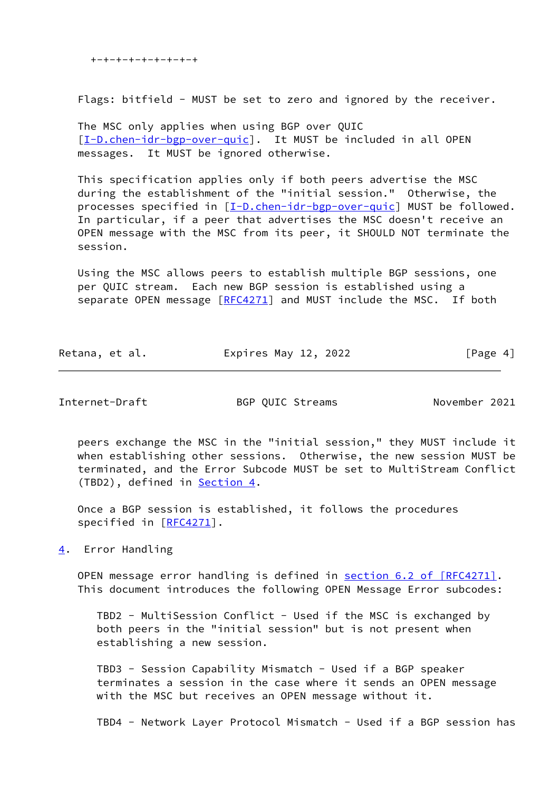+-+-+-+-+-+-+-+-+

Flags: bitfield - MUST be set to zero and ignored by the receiver.

 The MSC only applies when using BGP over QUIC [\[I-D.chen-idr-bgp-over-quic\]](#page-8-4). It MUST be included in all OPEN messages. It MUST be ignored otherwise.

 This specification applies only if both peers advertise the MSC during the establishment of the "initial session." Otherwise, the processes specified in [\[I-D.chen-idr-bgp-over-quic](#page-8-4)] MUST be followed. In particular, if a peer that advertises the MSC doesn't receive an OPEN message with the MSC from its peer, it SHOULD NOT terminate the session.

 Using the MSC allows peers to establish multiple BGP sessions, one per QUIC stream. Each new BGP session is established using a separate OPEN message [[RFC4271](https://datatracker.ietf.org/doc/pdf/rfc4271)] and MUST include the MSC. If both

| Retana, et al. | Expires May 12, 2022 | [Page 4] |
|----------------|----------------------|----------|
|----------------|----------------------|----------|

<span id="page-4-1"></span>Internet-Draft BGP QUIC Streams November 2021

 peers exchange the MSC in the "initial session," they MUST include it when establishing other sessions. Otherwise, the new session MUST be terminated, and the Error Subcode MUST be set to MultiStream Conflict (TBD2), defined in [Section 4.](#page-4-0)

 Once a BGP session is established, it follows the procedures specified in [\[RFC4271](https://datatracker.ietf.org/doc/pdf/rfc4271)].

<span id="page-4-0"></span>[4](#page-4-0). Error Handling

OPEN message error handling is defined in section [6.2 of \[RFC4271\]](https://datatracker.ietf.org/doc/pdf/rfc4271#section-6.2). This document introduces the following OPEN Message Error subcodes:

 TBD2 - MultiSession Conflict - Used if the MSC is exchanged by both peers in the "initial session" but is not present when establishing a new session.

 TBD3 - Session Capability Mismatch - Used if a BGP speaker terminates a session in the case where it sends an OPEN message with the MSC but receives an OPEN message without it.

TBD4 - Network Layer Protocol Mismatch - Used if a BGP session has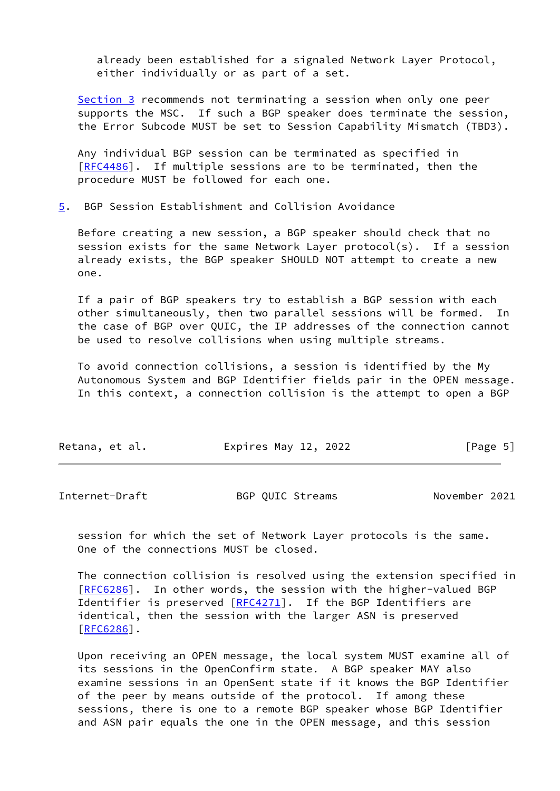already been established for a signaled Network Layer Protocol, either individually or as part of a set.

[Section 3](#page-3-1) recommends not terminating a session when only one peer supports the MSC. If such a BGP speaker does terminate the session, the Error Subcode MUST be set to Session Capability Mismatch (TBD3).

 Any individual BGP session can be terminated as specified in [\[RFC4486](https://datatracker.ietf.org/doc/pdf/rfc4486)]. If multiple sessions are to be terminated, then the procedure MUST be followed for each one.

<span id="page-5-0"></span>[5](#page-5-0). BGP Session Establishment and Collision Avoidance

 Before creating a new session, a BGP speaker should check that no session exists for the same Network Layer protocol(s). If a session already exists, the BGP speaker SHOULD NOT attempt to create a new one.

 If a pair of BGP speakers try to establish a BGP session with each other simultaneously, then two parallel sessions will be formed. In the case of BGP over QUIC, the IP addresses of the connection cannot be used to resolve collisions when using multiple streams.

 To avoid connection collisions, a session is identified by the My Autonomous System and BGP Identifier fields pair in the OPEN message. In this context, a connection collision is the attempt to open a BGP

| Retana, et al. | Expires May 12, 2022 | [Page 5] |
|----------------|----------------------|----------|
|                |                      |          |

Internet-Draft BGP QUIC Streams November 2021

 session for which the set of Network Layer protocols is the same. One of the connections MUST be closed.

 The connection collision is resolved using the extension specified in [\[RFC6286](https://datatracker.ietf.org/doc/pdf/rfc6286)]. In other words, the session with the higher-valued BGP Identifier is preserved [\[RFC4271](https://datatracker.ietf.org/doc/pdf/rfc4271)]. If the BGP Identifiers are identical, then the session with the larger ASN is preserved  $[REG286]$ .

 Upon receiving an OPEN message, the local system MUST examine all of its sessions in the OpenConfirm state. A BGP speaker MAY also examine sessions in an OpenSent state if it knows the BGP Identifier of the peer by means outside of the protocol. If among these sessions, there is one to a remote BGP speaker whose BGP Identifier and ASN pair equals the one in the OPEN message, and this session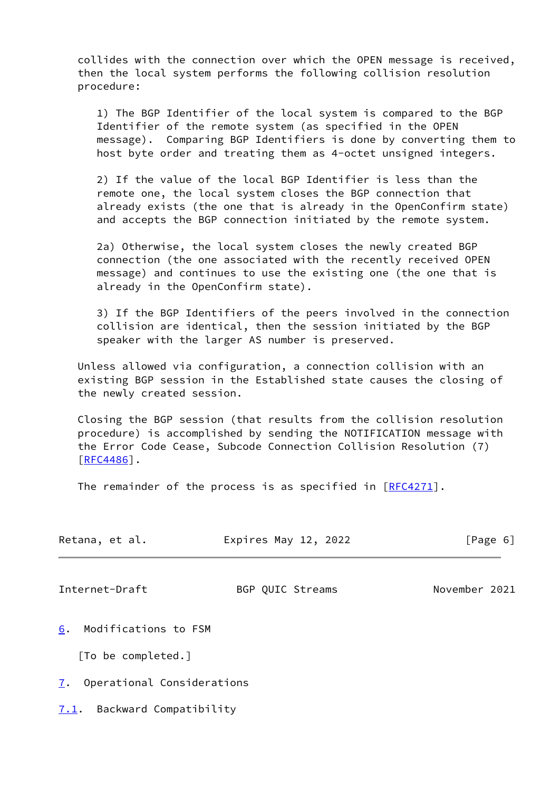collides with the connection over which the OPEN message is received, then the local system performs the following collision resolution procedure:

 1) The BGP Identifier of the local system is compared to the BGP Identifier of the remote system (as specified in the OPEN message). Comparing BGP Identifiers is done by converting them to host byte order and treating them as 4-octet unsigned integers.

 2) If the value of the local BGP Identifier is less than the remote one, the local system closes the BGP connection that already exists (the one that is already in the OpenConfirm state) and accepts the BGP connection initiated by the remote system.

 2a) Otherwise, the local system closes the newly created BGP connection (the one associated with the recently received OPEN message) and continues to use the existing one (the one that is already in the OpenConfirm state).

 3) If the BGP Identifiers of the peers involved in the connection collision are identical, then the session initiated by the BGP speaker with the larger AS number is preserved.

 Unless allowed via configuration, a connection collision with an existing BGP session in the Established state causes the closing of the newly created session.

 Closing the BGP session (that results from the collision resolution procedure) is accomplished by sending the NOTIFICATION message with the Error Code Cease, Subcode Connection Collision Resolution (7)  $[RFC4486]$  $[RFC4486]$ .

The remainder of the process is as specified in  $[REC4271]$ .

<span id="page-6-1"></span>

| Retana, et al.             | Expires May 12, 2022 | [Page 6]      |
|----------------------------|----------------------|---------------|
| Internet-Draft             | BGP QUIC Streams     | November 2021 |
| Modifications to FSM<br>6. |                      |               |

<span id="page-6-0"></span>[To be completed.]

<span id="page-6-2"></span>[7](#page-6-2). Operational Considerations

<span id="page-6-3"></span>[7.1](#page-6-3). Backward Compatibility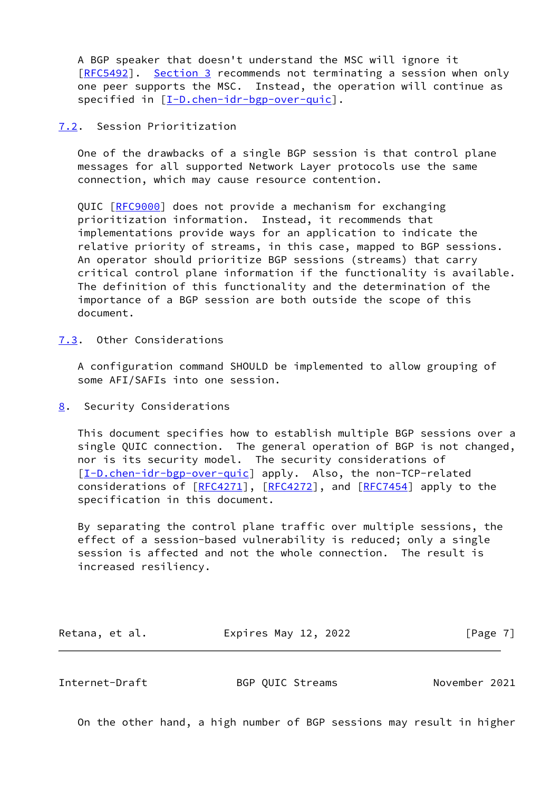A BGP speaker that doesn't understand the MSC will ignore it [\[RFC5492](https://datatracker.ietf.org/doc/pdf/rfc5492)]. [Section 3](#page-3-1) recommends not terminating a session when only one peer supports the MSC. Instead, the operation will continue as specified in [\[I-D.chen-idr-bgp-over-quic\]](#page-8-4).

#### <span id="page-7-0"></span>[7.2](#page-7-0). Session Prioritization

 One of the drawbacks of a single BGP session is that control plane messages for all supported Network Layer protocols use the same connection, which may cause resource contention.

QUIC [\[RFC9000](https://datatracker.ietf.org/doc/pdf/rfc9000)] does not provide a mechanism for exchanging prioritization information. Instead, it recommends that implementations provide ways for an application to indicate the relative priority of streams, in this case, mapped to BGP sessions. An operator should prioritize BGP sessions (streams) that carry critical control plane information if the functionality is available. The definition of this functionality and the determination of the importance of a BGP session are both outside the scope of this document.

<span id="page-7-1"></span>[7.3](#page-7-1). Other Considerations

 A configuration command SHOULD be implemented to allow grouping of some AFI/SAFIs into one session.

<span id="page-7-2"></span>[8](#page-7-2). Security Considerations

 This document specifies how to establish multiple BGP sessions over a single QUIC connection. The general operation of BGP is not changed, nor is its security model. The security considerations of [\[I-D.chen-idr-bgp-over-quic\]](#page-8-4) apply. Also, the non-TCP-related considerations of  $[REC4271]$ ,  $[REC4272]$ , and  $[REC7454]$  apply to the specification in this document.

 By separating the control plane traffic over multiple sessions, the effect of a session-based vulnerability is reduced; only a single session is affected and not the whole connection. The result is increased resiliency.

| Retana, et al. | Expires May 12, 2022 | [Page 7] |
|----------------|----------------------|----------|
|----------------|----------------------|----------|

<span id="page-7-3"></span>Internet-Draft BGP QUIC Streams November 2021

On the other hand, a high number of BGP sessions may result in higher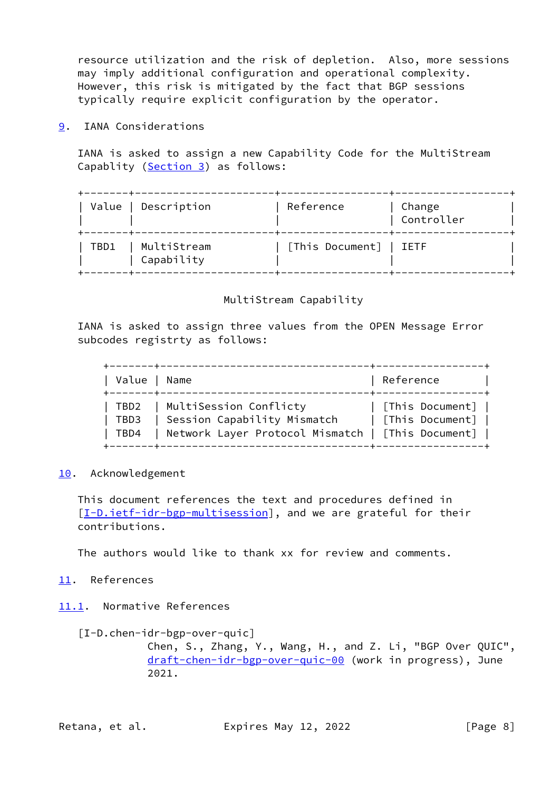resource utilization and the risk of depletion. Also, more sessions may imply additional configuration and operational complexity. However, this risk is mitigated by the fact that BGP sessions typically require explicit configuration by the operator.

<span id="page-8-0"></span>[9](#page-8-0). IANA Considerations

 IANA is asked to assign a new Capability Code for the MultiStream Capablity ([Section 3\)](#page-3-1) as follows:

+-------+----------------------+-----------------+------------------+

|      | Value   Description       | Reference              | Change<br>Controller |
|------|---------------------------|------------------------|----------------------|
| TBD1 | MultiStream<br>Capability | [This Document]   IETF |                      |

# MultiStream Capability

 IANA is asked to assign three values from the OPEN Message Error subcodes registrty as follows:

| Value   Name<br>$+ - - - - - - + - - - - - -$ |                                                                                                                     | Reference                            |
|-----------------------------------------------|---------------------------------------------------------------------------------------------------------------------|--------------------------------------|
| TBD3<br>TBD4                                  | TBD2   MultiSession Conflicty<br>Session Capability Mismatch<br>  Network Layer Protocol Mismatch   [This Document] | [This Document]  <br>[This Document] |

# <span id="page-8-1"></span>[10.](#page-8-1) Acknowledgement

 This document references the text and procedures defined in [\[I-D.ietf-idr-bgp-multisession](#page-9-2)], and we are grateful for their contributions.

The authors would like to thank xx for review and comments.

## <span id="page-8-2"></span>[11.](#page-8-2) References

<span id="page-8-3"></span>[11.1](#page-8-3). Normative References

```
 [I-D.chen-idr-bgp-over-quic]
Chen, S., Zhang, Y., Wang, H., and Z. Li, "BGP Over QUIC",
draft-chen-idr-bgp-over-quic-00 (work in progress), June
2021.
```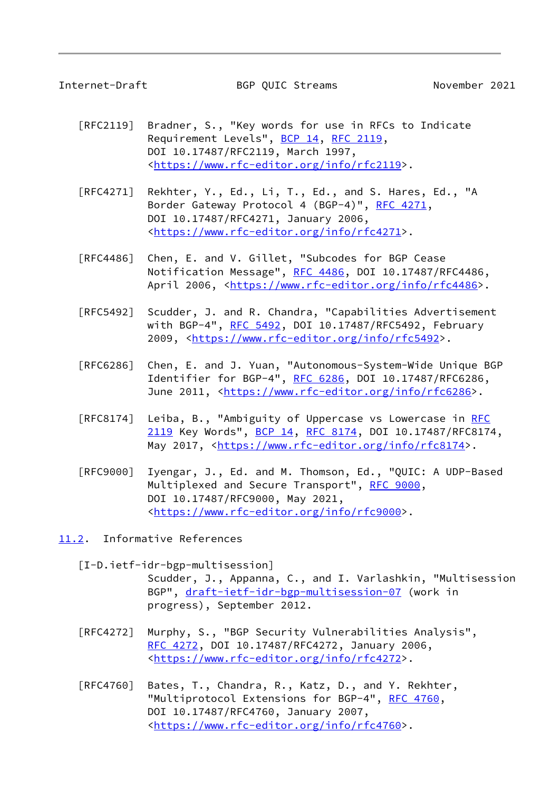<span id="page-9-1"></span>

Internet-Draft BGP QUIC Streams November 2021

- [RFC2119] Bradner, S., "Key words for use in RFCs to Indicate Requirement Levels", [BCP 14](https://datatracker.ietf.org/doc/pdf/bcp14), [RFC 2119](https://datatracker.ietf.org/doc/pdf/rfc2119), DOI 10.17487/RFC2119, March 1997, <[https://www.rfc-editor.org/info/rfc2119>](https://www.rfc-editor.org/info/rfc2119).
- [RFC4271] Rekhter, Y., Ed., Li, T., Ed., and S. Hares, Ed., "A Border Gateway Protocol 4 (BGP-4)", [RFC 4271,](https://datatracker.ietf.org/doc/pdf/rfc4271) DOI 10.17487/RFC4271, January 2006, <[https://www.rfc-editor.org/info/rfc4271>](https://www.rfc-editor.org/info/rfc4271).
- [RFC4486] Chen, E. and V. Gillet, "Subcodes for BGP Cease Notification Message", [RFC 4486](https://datatracker.ietf.org/doc/pdf/rfc4486), DOI 10.17487/RFC4486, April 2006, [<https://www.rfc-editor.org/info/rfc4486](https://www.rfc-editor.org/info/rfc4486)>.
- [RFC5492] Scudder, J. and R. Chandra, "Capabilities Advertisement with BGP-4", [RFC 5492](https://datatracker.ietf.org/doc/pdf/rfc5492), DOI 10.17487/RFC5492, February 2009, [<https://www.rfc-editor.org/info/rfc5492](https://www.rfc-editor.org/info/rfc5492)>.
- [RFC6286] Chen, E. and J. Yuan, "Autonomous-System-Wide Unique BGP Identifier for BGP-4", [RFC 6286](https://datatracker.ietf.org/doc/pdf/rfc6286), DOI 10.17487/RFC6286, June 2011, <<https://www.rfc-editor.org/info/rfc6286>>.
- [RFC8174] Leiba, B., "Ambiguity of Uppercase vs Lowercase in [RFC](https://datatracker.ietf.org/doc/pdf/rfc2119) [2119](https://datatracker.ietf.org/doc/pdf/rfc2119) Key Words", [BCP 14](https://datatracker.ietf.org/doc/pdf/bcp14), [RFC 8174,](https://datatracker.ietf.org/doc/pdf/rfc8174) DOI 10.17487/RFC8174, May 2017, [<https://www.rfc-editor.org/info/rfc8174](https://www.rfc-editor.org/info/rfc8174)>.
- [RFC9000] Iyengar, J., Ed. and M. Thomson, Ed., "QUIC: A UDP-Based Multiplexed and Secure Transport", [RFC 9000](https://datatracker.ietf.org/doc/pdf/rfc9000), DOI 10.17487/RFC9000, May 2021, <[https://www.rfc-editor.org/info/rfc9000>](https://www.rfc-editor.org/info/rfc9000).
- <span id="page-9-2"></span><span id="page-9-0"></span>[11.2](#page-9-0). Informative References
	- [I-D.ietf-idr-bgp-multisession] Scudder, J., Appanna, C., and I. Varlashkin, "Multisession BGP", [draft-ietf-idr-bgp-multisession-07](https://datatracker.ietf.org/doc/pdf/draft-ietf-idr-bgp-multisession-07) (work in progress), September 2012.
	- [RFC4272] Murphy, S., "BGP Security Vulnerabilities Analysis", [RFC 4272,](https://datatracker.ietf.org/doc/pdf/rfc4272) DOI 10.17487/RFC4272, January 2006, <[https://www.rfc-editor.org/info/rfc4272>](https://www.rfc-editor.org/info/rfc4272).
	- [RFC4760] Bates, T., Chandra, R., Katz, D., and Y. Rekhter, "Multiprotocol Extensions for BGP-4", [RFC 4760](https://datatracker.ietf.org/doc/pdf/rfc4760), DOI 10.17487/RFC4760, January 2007, <[https://www.rfc-editor.org/info/rfc4760>](https://www.rfc-editor.org/info/rfc4760).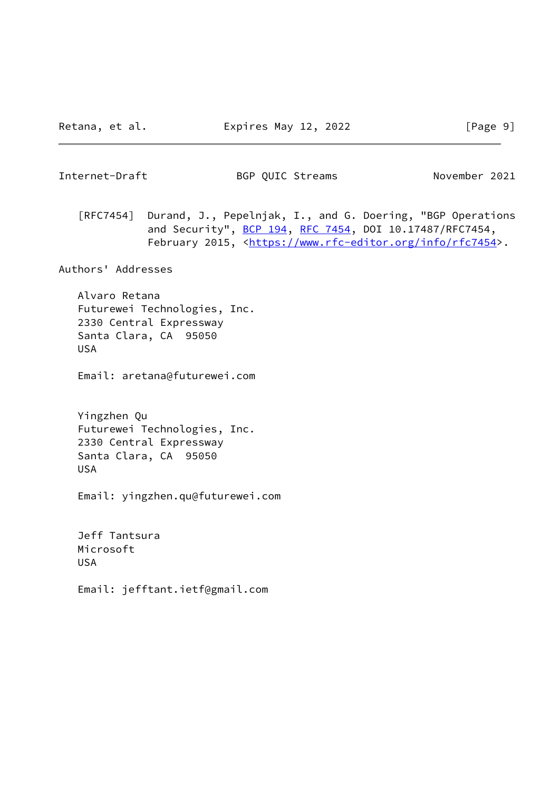<span id="page-10-0"></span>Internet-Draft BGP QUIC Streams November 2021

 [RFC7454] Durand, J., Pepelnjak, I., and G. Doering, "BGP Operations and Security", [BCP 194](https://datatracker.ietf.org/doc/pdf/bcp194), [RFC 7454,](https://datatracker.ietf.org/doc/pdf/rfc7454) DOI 10.17487/RFC7454, February 2015, <<https://www.rfc-editor.org/info/rfc7454>>.

Authors' Addresses

 Alvaro Retana Futurewei Technologies, Inc. 2330 Central Expressway Santa Clara, CA 95050 USA

Email: aretana@futurewei.com

 Yingzhen Qu Futurewei Technologies, Inc. 2330 Central Expressway Santa Clara, CA 95050 USA

Email: yingzhen.qu@futurewei.com

 Jeff Tantsura Microsoft USA

Email: jefftant.ietf@gmail.com